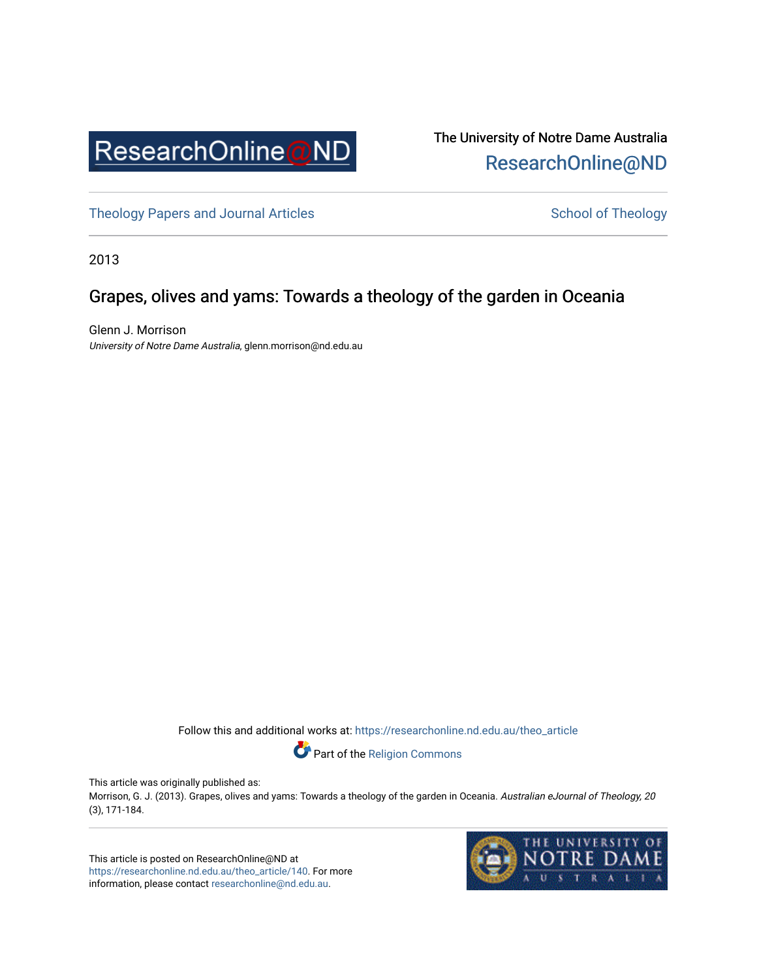

## The University of Notre Dame Australia [ResearchOnline@ND](https://researchonline.nd.edu.au/)

[Theology Papers and Journal Articles](https://researchonline.nd.edu.au/theo_article) and [School of Theology](https://researchonline.nd.edu.au/theo) School of Theology

2013

## Grapes, olives and yams: Towards a theology of the garden in Oceania

Glenn J. Morrison University of Notre Dame Australia, glenn.morrison@nd.edu.au

Follow this and additional works at: [https://researchonline.nd.edu.au/theo\\_article](https://researchonline.nd.edu.au/theo_article?utm_source=researchonline.nd.edu.au%2Ftheo_article%2F140&utm_medium=PDF&utm_campaign=PDFCoverPages) 

Part of the [Religion Commons](http://network.bepress.com/hgg/discipline/538?utm_source=researchonline.nd.edu.au%2Ftheo_article%2F140&utm_medium=PDF&utm_campaign=PDFCoverPages) 

This article was originally published as:

Morrison, G. J. (2013). Grapes, olives and yams: Towards a theology of the garden in Oceania. Australian eJournal of Theology, 20 (3), 171-184.

This article is posted on ResearchOnline@ND at [https://researchonline.nd.edu.au/theo\\_article/140](https://researchonline.nd.edu.au/theo_article/140). For more information, please contact [researchonline@nd.edu.au.](mailto:researchonline@nd.edu.au)

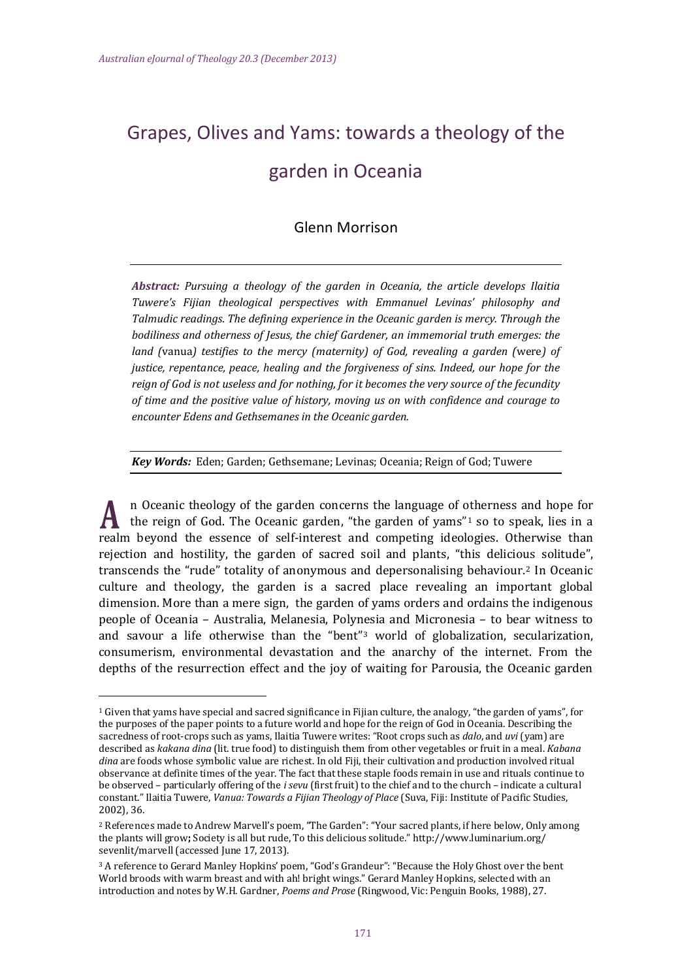I

# Grapes, Olives and Yams: towards a theology of the garden in Oceania

## Glenn Morrison

*Abstract: Pursuing a theology of the garden in Oceania, the article develops Ilaitia Tuwere's Fijian theological perspectives with Emmanuel Levinas' philosophy and Talmudic readings. The defining experience in the Oceanic garden is mercy. Through the bodiliness and otherness of Jesus, the chief Gardener, an immemorial truth emerges: the land (*vanua*) testifies to the mercy (maternity) of God, revealing a garden (*were*) of justice, repentance, peace, healing and the forgiveness of sins. Indeed, our hope for the reign of God is not useless and for nothing, for it becomes the very source of the fecundity of time and the positive value of history, moving us on with confidence and courage to encounter Edens and Gethsemanes in the Oceanic garden.*

*Key Words:* Eden; Garden; Gethsemane; Levinas; Oceania; Reign of God; Tuwere

n Oceanic theology of the garden concerns the language of [ot](#page-1-0)herness and hope for the reign of God. The Oceanic garden, "the garden of yams"1 so to speak, lies in a realm beyond the essence of self-interest and competing ideologies. Otherwise than rejection and hostility, the garden of sacred soil and plants, "this delicious solitude", transcends the "rude" totality of anonymous and depersonalising behaviour.[2](#page-1-1) In Oceanic culture and theology, the garden is a sacred place revealing an important global dimension. More than a mere sign, the garden of yams orders and ordains the indigenous people of Oceania – Australia, Melanesia, Polynesia and Micronesia – to bear witness to and savour a life otherwise than the "bent"[3](#page-1-2) world of globalization, secularization, consumerism, environmental devastation and the anarchy of the internet. From the depths of the resurrection effect and the joy of waiting for Parousia, the Oceanic garden

<span id="page-1-0"></span><sup>1</sup> Given that yams have special and sacred significance in Fijian culture, the analogy, "the garden of yams", for the purposes of the paper points to a future world and hope for the reign of God in Oceania. Describing the sacredness of root-crops such as yams, Ilaitia Tuwere writes: "Root crops such as *dalo*, and *uvi* (yam) are described as *kakana dina* (lit. true food) to distinguish them from other vegetables or fruit in a meal. *Kabana dina* are foods whose symbolic value are richest. In old Fiji, their cultivation and production involved ritual observance at definite times of the year. The fact that these staple foods remain in use and rituals continue to be observed – particularly offering of the *i sevu* (first fruit) to the chief and to the church – indicate a cultural constant." Ilaitia Tuwere, *Vanua: Towards a Fijian Theology of Place* (Suva, Fiji: Institute of Pacific Studies, 2002), 36.

<span id="page-1-1"></span><sup>2</sup> References made to Andrew Marvell's poem, "The Garden": "Your sacred plants, if here below, Only among the plants will grow**;** Society is all but rude, To this delicious solitude." http://www.luminarium.org/ sevenlit/marvell (accessed June 17, 2013).

<span id="page-1-2"></span><sup>3</sup> A reference to Gerard Manley Hopkins' poem, "God's Grandeur": "Because the Holy Ghost over the bent World broods with warm breast and with ah! bright wings." Gerard Manley Hopkins, selected with an introduction and notes by W.H. Gardner, *Poems and Prose* (Ringwood, Vic: Penguin Books, 1988), 27.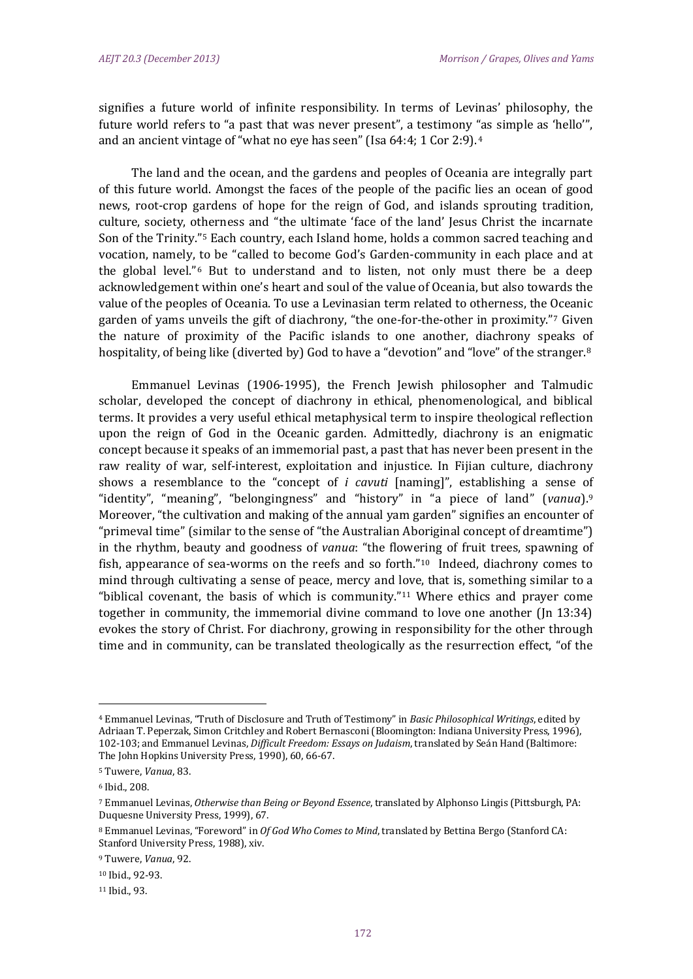signifies a future world of infinite responsibility. In terms of Levinas' philosophy, the future world refers to "a past that was never present", a testimony ["a](#page-2-0)s simple as 'hello'", and an ancient vintage of "what no eye has seen" (Isa 64:4; 1 Cor 2:9).4

The land and the ocean, and the gardens and peoples of Oceania are integrally part of this future world. Amongst the faces of the people of the pacific lies an ocean of good news, root-crop gardens of hope for the reign of God, and islands sprouting tradition, culture, society, otherness and "the ultimate 'face of the land' Jesus Christ the incarnate Son of the Trinity."[5](#page-2-1) Each country, each Island home, holds a common sacred teaching and vocation, namely, [t](#page-2-2)o be "called to become God's Garden-community in each place and at the global level."<sup>6</sup> But to understand and to listen, not only must there be a deep acknowledgement within one's heart and soul of the value of Oceania, but also towards the value of the peoples of Oceania. To use a Levinasian term related to otherness, the [O](#page-2-3)ceanic garden of yams unveils the gift of diachrony, "the one-for-the-other in proximity."7 Given the nature of proximity of the Pacific islands to one another, diachrony speaks of hospitality, of being like (diverted by) God to have a "devotion" and "love" of the stranger.<sup>[8](#page-2-4)</sup>

Emmanuel Levinas (1906-1995), the French Jewish philosopher and Talmudic scholar, developed the concept of diachrony in ethical, phenomenological, and biblical terms. It provides a very useful ethical metaphysical term to inspire theological reflection upon the reign of God in the Oceanic garden. Admittedly, diachrony is an enigmatic concept because it speaks of an immemorial past, a past that has never been present in the raw reality of war, self-interest, exploitation and injustice. In Fijian culture, diachrony shows a resemblance to the "concept of *i cavuti* [naming]", establishing a sense [of](#page-2-5)  "identity", "meaning", "belongingness" and "history" in "a piece of land" (*vanua*).9 Moreover, "the cultivation and making of the annual yam garden" signifies an encounter of "primeval time" (similar to the sense of "the Australian Aboriginal concept of dreamtime") in the rhythm, beauty and goodness of *vanua*: "the flowering of fruit trees, spawning of fish, appearance of sea-worms on the reefs and so forth."[10](#page-2-6) Indeed, diachrony comes to mind through cultivating a sense of peace, mercy and love, that is, something similar to a "biblical covenant, the basis of which is community."<sup>[11](#page-2-7)</sup> Where ethics and prayer come together in community, the immemorial divine command to love one another (Jn 13:34) evokes the story of Christ. For diachrony, growing in responsibility for the other through time and in community, can be translated theologically as the resurrection effect, "of the

<span id="page-2-0"></span><sup>4</sup> Emmanuel Levinas, "Truth of Disclosure and Truth of Testimony" in *Basic Philosophical Writings*, edited by Adriaan T. Peperzak, Simon Critchley and Robert Bernasconi (Bloomington: Indiana University Press, 1996), 102-103; and Emmanuel Levinas, *Difficult Freedom: Essays on Judaism*, translated by Seán Hand (Baltimore: The John Hopkins University Press, 1990), 60, 66-67.

<span id="page-2-1"></span><sup>5</sup> Tuwere, *Vanua*, 83.

<span id="page-2-2"></span><sup>6</sup> Ibid., 208.

<span id="page-2-3"></span><sup>7</sup> Emmanuel Levinas, *Otherwise than Being or Beyond Essence*, translated by Alphonso Lingis (Pittsburgh, PA: Duquesne University Press, 1999), 67.

<span id="page-2-4"></span><sup>8</sup> Emmanuel Levinas, "Foreword" in *Of God Who Comes to Mind*, translated by Bettina Bergo (Stanford CA: Stanford University Press, 1988), xiv.

<span id="page-2-5"></span><sup>9</sup> Tuwere, *Vanua*, 92.

<span id="page-2-6"></span><sup>10</sup> Ibid., 92-93.

<span id="page-2-7"></span><sup>11</sup> Ibid., 93.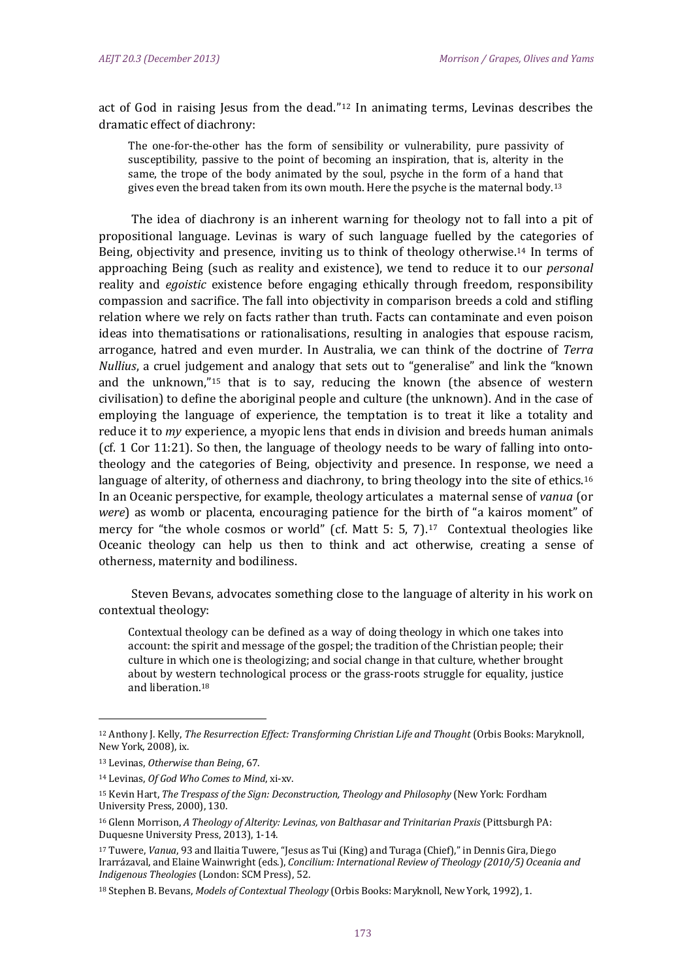act of God in raising Jesus from the dead."[12](#page-3-0) In animating terms, Levinas describes the dramatic effect of diachrony:

The one-for-the-other has the form of sensibility or vulnerability, pure passivity of susceptibility, passive to the point of becoming an inspiration, that is, alterity in the same, the trope of the body animated by the soul, psyche in the form of a hand that gives even the bread taken from its own mouth. Here the psyche is the maternal body.<sup>[13](#page-3-1)</sup>

The idea of diachrony is an inherent warning for theology not to fall into a pit of propositional language. Levinas is wary of such language fuelled by the categories of Being, objectivity and presence, inviting us to think of theology otherwise[.14](#page-3-2) In terms of approaching Being (such as reality and existence), we tend to reduce it to our *personal* reality and *egoistic* existence before engaging ethically through freedom, responsibility compassion and sacrifice. The fall into objectivity in comparison breeds a cold and stifling relation where we rely on facts rather than truth. Facts can contaminate and even poison ideas into thematisations or rationalisations, resulting in analogies that espouse racism, arrogance, hatred and even murder. In Australia, we can think of the doctrine of *Terra Nullius*, a cruel judg[em](#page-3-3)ent and analogy that sets out to "generalise" and link the "known and the unknown,"15 that is to say, reducing the known (the absence of western civilisation) to define the aboriginal people and culture (the unknown). And in the case of employing the language of experience, the temptation is to treat it like a totality and reduce it to *my* experience, a myopic lens that ends in division and breeds human animals (cf. 1 Cor 11:21). So then, the language of theology needs to be wary of falling into ontotheology and the categories of Being, objectivity and presence. In response, we need [a](#page-3-4)  language of alterity, of otherness and diachrony, to bring theology into the site of ethics.<sup>16</sup> In an Oceanic perspective, for example, theology articulates a maternal sense of *vanua* (or *were*) as womb or placenta, encouraging patience for the birth of "a kairos moment" of mercy for "the whole cosmos or world" (cf. Matt 5: 5, 7).<sup>[17](#page-3-5)</sup> Contextual theologies like Oceanic theology can help us then to think and act otherwise, creating a sense of otherness, maternity and bodiliness.

Steven Bevans, advocates something close to the language of alterity in his work on contextual theology:

Contextual theology can be defined as a way of doing theology in which one takes into account: the spirit and message of the gospel; the tradition of the Christian people; their culture in which one is theologizing; and social change in that culture, whether brought about by western technological process or the grass-roots struggle for equality, justice and liberation.[18](#page-3-6)

<span id="page-3-0"></span><sup>12</sup> Anthony J. Kelly, *The Resurrection Effect: Transforming Christian Life and Thought* (Orbis Books: Maryknoll, New York, 2008), ix.

<span id="page-3-1"></span><sup>13</sup> Levinas, *Otherwise than Being*, 67.

<span id="page-3-2"></span><sup>14</sup> Levinas, *Of God Who Comes to Mind*, xi-xv.

<span id="page-3-3"></span><sup>15</sup> Kevin Hart, *The Trespass of the Sign: Deconstruction, Theology and Philosophy* (New York: Fordham University Press, 2000), 130.

<span id="page-3-4"></span><sup>16</sup> Glenn Morrison, *A Theology of Alterity: Levinas, von Balthasar and Trinitarian Praxis* (Pittsburgh PA: Duquesne University Press, 2013), 1-14.

<span id="page-3-5"></span><sup>17</sup> Tuwere, *Vanua*, 93 and Ilaitia Tuwere, "Jesus as Tui (King) and Turaga (Chief)," in Dennis Gira, Diego Irarrázaval, and Elaine Wainwright (eds.), *Concilium: International Review of Theology (2010/5) Oceania and Indigenous Theologies* (London: SCM Press), 52.

<span id="page-3-6"></span><sup>18</sup> Stephen B. Bevans, *Models of Contextual Theology* (Orbis Books: Maryknoll, New York, 1992), 1.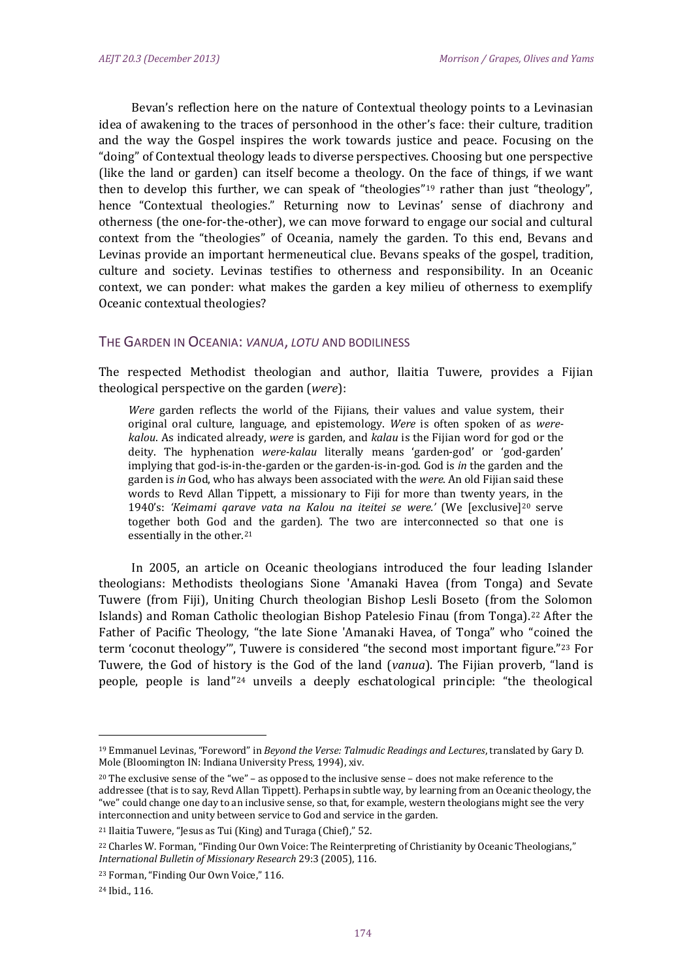Bevan's reflection here on the nature of Contextual theology points to a Levinasian idea of awakening to the traces of personhood in the other's face: their culture, tradition and the way the Gospel inspires the work towards justice and peace. Focusing on the "doing" of Contextual theology leads to diverse perspectives. Choosing but one perspective (like the land or garden) can itself become a theology. On the face of things, if we want then to develop this further, we can speak of "theologies"<sup>[19](#page-4-0)</sup> rather than just "theology", hence "Contextual theologies." Returning now to Levinas' sense of diachrony and otherness (the one-for-the-other), we can move forward to engage our social and cultural context from the "theologies" of Oceania, namely the garden. To this end, Bevans and Levinas provide an important hermeneutical clue. Bevans speaks of the gospel, tradition, culture and society. Levinas testifies to otherness and responsibility. In an Oceanic context, we can ponder: what makes the garden a key milieu of otherness to exemplify Oceanic contextual theologies?

### THE GARDEN IN OCEANIA: *VANUA*, *LOTU* AND BODILINESS

The respected Methodist theologian and author, Ilaitia Tuwere, provides a Fijian theological perspective on the garden (*were*):

*Were* garden reflects the world of the Fijians, their values and value system, their original oral culture, language, and epistemology. *Were* is often spoken of as *werekalou*. As indicated already, *were* is garden, and *kalau* is the Fijian word for god or the deity. The hyphenation *were-kalau* literally means 'garden-god' or 'god-garden' implying that god-is-in-the-garden or the garden-is-in-god. God is *in* the garden and the garden is *in* God, who has always been associated with the *were*. An old Fijian said these words to Revd Allan Tippett, a missionary to Fiji for more than twenty years, in the 1940's: *'Keimami qarave vata na Kalou na iteitei se were.'* (We [exclusive][20](#page-4-1) serve together both God and the garden). The two are interconnected so that one is essentially in the other.<sup>[21](#page-4-2)</sup>

In 2005, an article on Oceanic theologians introduced the four leading Islander theologians: Methodists theologians Sione 'Amanaki Havea (from Tonga) and Sevate Tuwere (from Fiji), Uniting Church theologian Bishop Lesli Boseto (from the Solomon Islands) and Roman Catholic theologian Bishop Patelesio Finau (from Tonga)[.22](#page-4-3) After the Father of Pacific Theology, "the late Sione 'Amanaki Havea, of Tonga" who "coin[ed](#page-4-4) the term 'coconut theology'", Tuwere is considered "the second most important figure."23 For Tuwere, the God of history is the God of the land (*vanua*). The Fijian proverb, "land is people, people is land"[24](#page-4-5) unveils a deeply eschatological principle: "the theological

<span id="page-4-0"></span><sup>19</sup> Emmanuel Levinas, "Foreword" in *Beyond the Verse: Talmudic Readings and Lectures*, translated by Gary D. Mole (Bloomington IN: Indiana University Press, 1994), xiv.

<span id="page-4-1"></span><sup>20</sup> The exclusive sense of the "we" – as opposed to the inclusive sense – does not make reference to the addressee (that is to say, Revd Allan Tippett). Perhaps in subtle way, by learning from an Oceanic theology, the "we" could change one day to an inclusive sense, so that, for example, western theologians might see the very interconnection and unity between service to God and service in the garden.

<span id="page-4-2"></span><sup>21</sup> Ilaitia Tuwere, "Jesus as Tui (King) and Turaga (Chief)," 52.

<span id="page-4-3"></span><sup>22</sup> Charles W. Forman, "Finding Our Own Voice: The Reinterpreting of Christianity by Oceanic Theologians," *International Bulletin of Missionary Research* 29:3 (2005), 116.

<span id="page-4-4"></span><sup>23</sup> Forman, "Finding Our Own Voice," 116.

<span id="page-4-5"></span><sup>24</sup> Ibid., 116.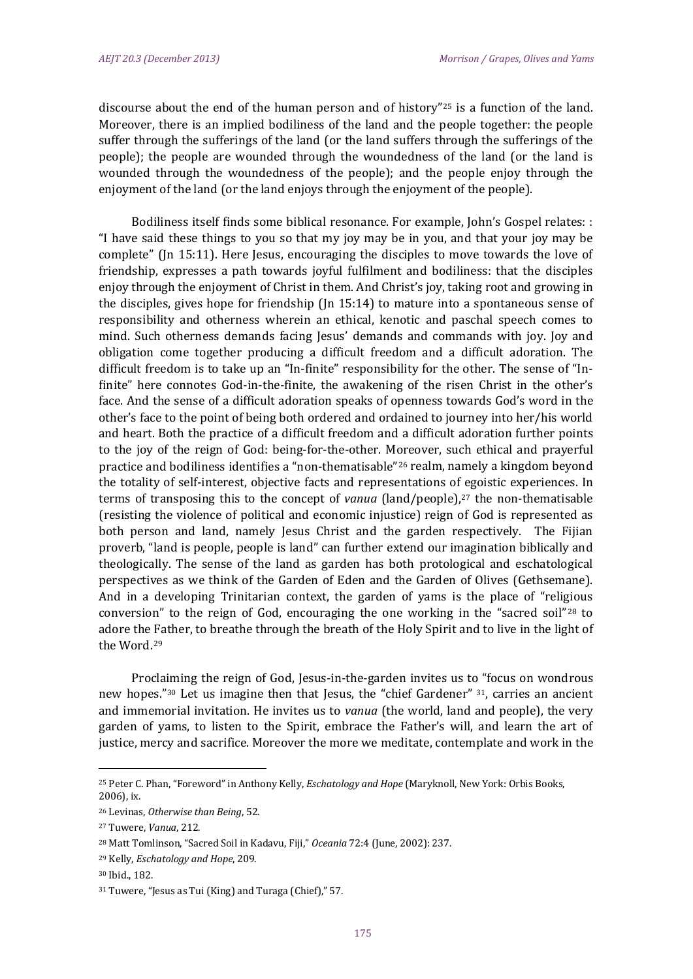discourse about the end of the human person and of history"<sup>[25](#page-5-0)</sup> is a function of the land. Moreover, there is an implied bodiliness of the land and the people together: the people suffer through the sufferings of the land (or the land suffers through the sufferings of the people); the people are wounded through the woundedness of the land (or the land is wounded through the woundedness of the people); and the people enjoy through the enjoyment of the land (or the land enjoys through the enjoyment of the people).

Bodiliness itself finds some biblical resonance. For example, John's Gospel relates: : "I have said these things to you so that my joy may be in you, and that your joy may be complete" (Jn 15:11). Here Jesus, encouraging the disciples to move towards the love of friendship, expresses a path towards joyful fulfilment and bodiliness: that the disciples enjoy through the enjoyment of Christ in them. And Christ's joy, taking root and growing in the disciples, gives hope for friendship ( $\ln 15:14$ ) to mature into a spontaneous sense of responsibility and otherness wherein an ethical, kenotic and paschal speech comes to mind. Such otherness demands facing Jesus' demands and commands with joy. Joy and obligation come together producing a difficult freedom and a difficult adoration. The difficult freedom is to take up an "In-finite" responsibility for the other. The sense of "Infinite" here connotes God-in-the-finite, the awakening of the risen Christ in the other's face. And the sense of a difficult adoration speaks of openness towards God's word in the other's face to the point of being both ordered and ordained to journey into her/his world and heart. Both the practice of a difficult freedom and a difficult adoration further points to the joy of the reign of God: being-for-the-other. Moreover, such ethical and prayerful practice and bodiliness identifies a "non-thematisable"[26](#page-5-1) realm, namely a kingdom beyond the totality of self-interest, objective facts and representations of egoistic experiences. In terms of transposing this to the concept of *vanua* (land/people),<sup>[27](#page-5-2)</sup> the non-thematisable (resisting the violence of political and economic injustice) reign of God is represented as both person and land, namely Jesus Christ and the garden respectively. The Fijian proverb, "land is people, people is land" can further extend our imagination biblically and theologically. The sense of the land as garden has both protological and eschatological perspectives as we think of the Garden of Eden and the Garden of Olives (Gethsemane). And in a developing Trinitarian context, the garden of yams is the place of "reli[gio](#page-5-3)us conversion" to the reign of God, encouraging the one working in the "sacred soil"28 to adore the [Fa](#page-5-4)ther, to breathe through the breath of the Holy Spirit and to live in the light of the Word.29

Proclaiming the reign of God, Jesus-in-the-garden invites us to "focus on wondrous new hopes."<sup>[30](#page-5-5)</sup> Let us imagine then that Jesus, the "chief Gardener" <sup>[31](#page-5-6)</sup>, carries an ancient and immemorial invitation. He invites us to *vanua* (the world, land and people), the very garden of yams, to listen to the Spirit, embrace the Father's will, and learn the art of justice, mercy and sacrifice. Moreover the more we meditate, contemplate and work in the

<span id="page-5-0"></span><sup>25</sup> Peter C. Phan, "Foreword" in Anthony Kelly, *Eschatology and Hope* (Maryknoll, New York: Orbis Books, 2006), ix.

<span id="page-5-1"></span><sup>26</sup> Levinas, *Otherwise than Being*, 52.

<span id="page-5-2"></span><sup>27</sup> Tuwere, *Vanua*, 212.

<span id="page-5-3"></span><sup>28</sup> Matt Tomlinson, "Sacred Soil in Kadavu, Fiji," *Oceania* 72:4 (June, 2002): 237.

<span id="page-5-4"></span><sup>29</sup> Kelly, *Eschatology and Hope*, 209.

<span id="page-5-5"></span><sup>30</sup> Ibid., 182.

<span id="page-5-6"></span><sup>31</sup> Tuwere, "Jesus as Tui (King) and Turaga (Chief)," 57.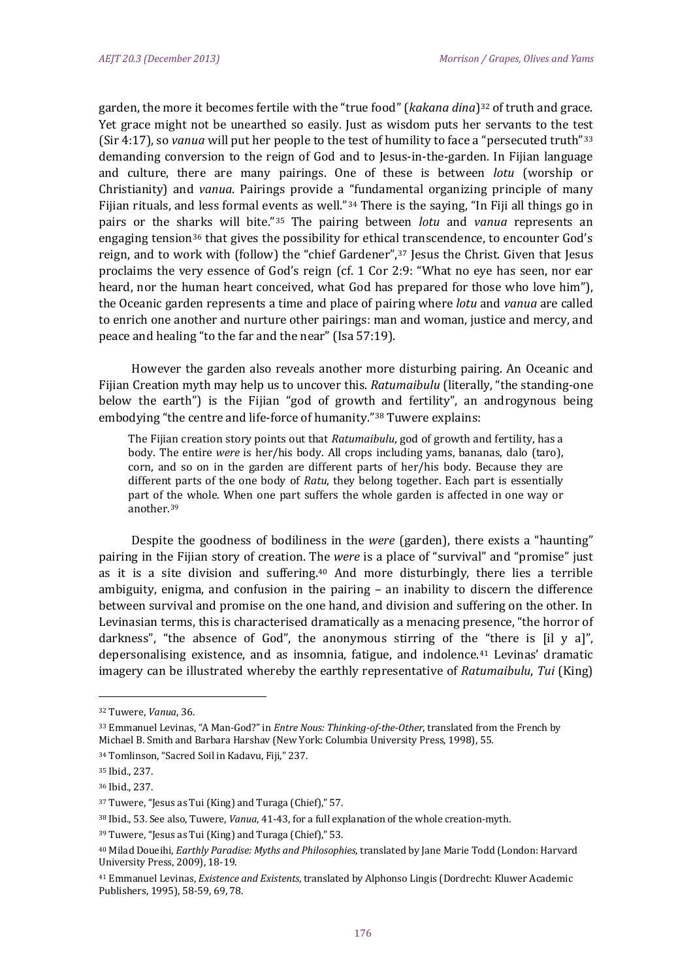garden, the more it becomes fertile with the "true food" (*kakana dina*)<sup>[32](#page-6-0)</sup> of truth and grace. Yet grace might not be unearthed so easily. Just as wisdom puts her servants to the te[st](#page-6-1)  (Sir 4:17), so *vanua* will put her people to the test of humility to face a "persecuted truth"33 demanding conversion to the reign of God and to Jesus-in-the-garden. In Fijian language and culture, there are many pairings. One of these is between *lotu* (worship or Christianity) and *vanua*. Pairings provide a "fundamental organizing principle of many Fijian rituals, and less formal ev[en](#page-6-3)ts as well."<sup>[34](#page-6-2)</sup> There is the saying, "In Fiji all things go in pairs or the sh[ark](#page-6-4)s will bite."35 The pairing between *lotu* and *vanua* represents an engaging tension36 that gives the possibility for ethical transcendence, to encounter God's reign, and to work with (follow) the "chief Gardener",<sup>[37](#page-6-5)</sup> Jesus the Christ. Given that Jesus proclaims the very essence of God's reign (cf. 1 Cor 2:9: "What no eye has seen, nor ear heard, nor the human heart conceived, what God has prepared for those who love him"), the Oceanic garden represents a time and place of pairing where *lotu* and *vanua* are called to enrich one another and nurture other pairings: man and woman, justice and mercy, and peace and healing "to the far and the near" (Isa 57:19).

However the garden also reveals another more disturbing pairing. An Oceanic and Fijian Creation myth may help us to uncover this. *Ratumaibulu* (literally, "the standing-one below the earth") is the Fijian "god of growth and fertility", an androgynous being embodying "the centre and life-force of humanity."[38](#page-6-6) Tuwere explains:

The Fijian creation story points out that *Ratumaibulu*, god of growth and fertility, has a body. The entire *were* is her/his body. All crops including yams, bananas, dalo (taro), corn, and so on in the garden are different parts of her/his body. Because they are different parts of the one body of *Ratu*, they belong together. Each part is essentially part of the whole. When one part suffers the whole garden is affected in one way or another.[39](#page-6-7)

Despite the goodness of bodiliness in the *were* (garden), there exists a "haunting" pairing in the Fijian story of creation. T[he](#page-6-8) *were* is a place of "survival" and "promise" just as it is a site division and suffering.40 And more disturbingly, there lies a terrible ambiguity, enigma, and confusion in the pairing – an inability to discern the difference between survival and promise on the one hand, and division and suffering on the other. In Levinasian terms, this is characterised dramatically as a menacing presence, "the horror of darkness", "the absence of God", the anonymous stirring of the "there is [il y a]", depersonalising existence, and as insomnia, fatigue, and indolence.[41](#page-6-9) Levinas' dramatic imagery can be illustrated whereby the earthly representative of *Ratumaibulu*, *Tui* (King)

<span id="page-6-0"></span><sup>32</sup> Tuwere, *Vanua*, 36.

<span id="page-6-1"></span><sup>33</sup> Emmanuel Levinas, "A Man-God?" in *Entre Nous: Thinking-of-the-Other*, translated from the French by Michael B. Smith and Barbara Harshav (New York: Columbia University Press, 1998), 55.

<span id="page-6-2"></span><sup>34</sup> Tomlinson, "Sacred Soil in Kadavu, Fiji," 237.

<span id="page-6-3"></span><sup>35</sup> Ibid., 237.

<span id="page-6-4"></span><sup>36</sup> Ibid., 237.

<span id="page-6-5"></span><sup>37</sup> Tuwere, "Jesus as Tui (King) and Turaga (Chief)," 57.

<span id="page-6-6"></span><sup>38</sup> Ibid., 53. See also, Tuwere, *Vanua*, 41-43, for a full explanation of the whole creation-myth.

<span id="page-6-7"></span><sup>39</sup> Tuwere, "Jesus as Tui (King) and Turaga (Chief)," 53.

<span id="page-6-8"></span><sup>40</sup> Milad Doueihi, *Earthly Paradise: Myths and Philosophies*, translated by Jane Marie Todd (London: Harvard University Press, 2009), 18-19.

<span id="page-6-9"></span><sup>41</sup> Emmanuel Levinas, *Existence and Existents*, translated by Alphonso Lingis (Dordrecht: Kluwer Academic Publishers, 1995), 58-59, 69, 78.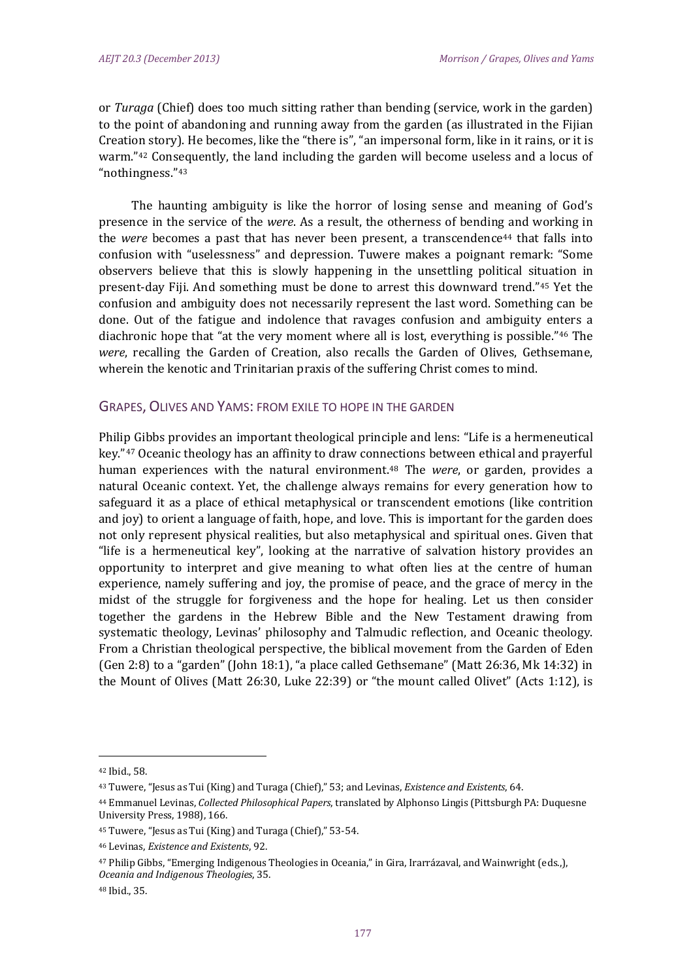or *Turaga* (Chief) does too much sitting rather than bending (service, work in the garden) to the point of abandoning and running away from the garden (as illustrated in the Fijian Creation story). He becomes, like the "there is", "an impersonal form, like in it rains, or it is warm."<sup>[42](#page-7-0)</sup> Consequently, the land including the garden will become useless and a locus of "nothingness."[43](#page-7-1)

The haunting ambiguity is like the horror of losing sense and meaning of God's presence in the service of the *were*. As a result, the otherness of bending and working in the *were* becomes a past that has never been present, a transcendence[44](#page-7-2) that falls into confusion with "uselessness" and depression. Tuwere makes a poignant remark: "Some observers believe that this is slowly happening in the unsettling political situation in present-day Fiji. And something must be done to arrest this downward trend."[45](#page-7-3) Yet the confusion and ambiguity does not necessarily represent the last word. Something can be done. Out of the fatigue and indolence that ravages confusion and ambiguity enters a diachronic hope that "at the very moment where all is lost, everything is possible."[46](#page-7-4) The *were*, recalling the Garden of Creation, also recalls the Garden of Olives, Gethsemane, wherein the kenotic and Trinitarian praxis of the suffering Christ comes to mind.

### GRAPES, OLIVES AND YAMS: FROM EXILE TO HOPE IN THE GARDEN

Philip Gibbs provides an important theological principle and lens: "Life is a hermeneutical key."[47](#page-7-5) Oceanic theology has an affinity to draw conn[ect](#page-7-6)ions between ethical and prayerful human experiences with the natural environment.48 The *were*, or garden, provides a natural Oceanic context. Yet, the challenge always remains for every generation how to safeguard it as a place of ethical metaphysical or transcendent emotions (like contrition and joy) to orient a language of faith, hope, and love. This is important for the garden does not only represent physical realities, but also metaphysical and spiritual ones. Given that "life is a hermeneutical key", looking at the narrative of salvation history provides an opportunity to interpret and give meaning to what often lies at the centre of human experience, namely suffering and joy, the promise of peace, and the grace of mercy in the midst of the struggle for forgiveness and the hope for healing. Let us then consider together the gardens in the Hebrew Bible and the New Testament drawing from systematic theology, Levinas' philosophy and Talmudic reflection, and Oceanic theology. From a Christian theological perspective, the biblical movement from the Garden of Eden (Gen 2:8) to a "garden" (John 18:1), "a place called Gethsemane" (Matt 26:36, Mk 14:32) in the Mount of Olives (Matt 26:30, Luke 22:39) or "the mount called Olivet" (Acts 1:12), is

<span id="page-7-0"></span><sup>42</sup> Ibid., 58.

<span id="page-7-1"></span><sup>43</sup> Tuwere, "Jesus as Tui (King) and Turaga (Chief)," 53; and Levinas, *Existence and Existents*, 64.

<span id="page-7-2"></span><sup>44</sup> Emmanuel Levinas, *Collected Philosophical Papers*, translated by Alphonso Lingis (Pittsburgh PA: Duquesne University Press, 1988), 166.

<span id="page-7-3"></span><sup>45</sup> Tuwere, "Jesus as Tui (King) and Turaga (Chief)," 53-54.

<span id="page-7-4"></span><sup>46</sup> Levinas, *Existence and Existents*, 92.

<span id="page-7-5"></span><sup>47</sup> Philip Gibbs, "Emerging Indigenous Theologies in Oceania," in Gira, Irarrázaval, and Wainwright (eds.,), *Oceania and Indigenous Theologies*, 35.

<span id="page-7-6"></span><sup>48</sup> Ibid., 35.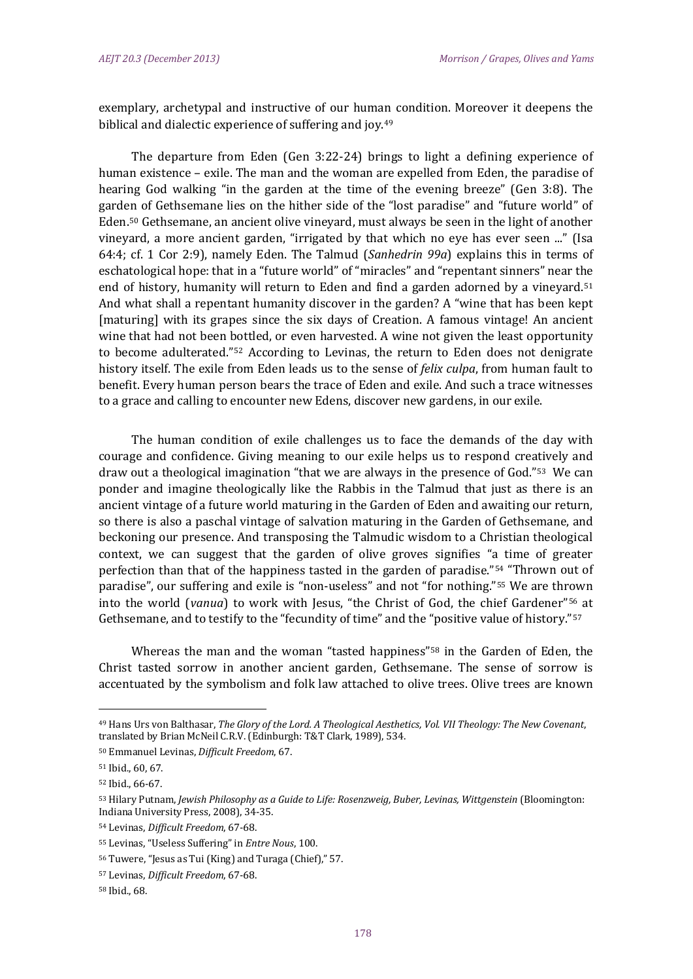exemplary, archetypal and instructive of our human condition. Moreover it deepens the biblical and dialectic experience of suffering and joy.<sup>49</sup>

The departure from Eden (Gen 3:22-24) brings to light a defining experience of human existence – exile. The man and the woman are expelled from Eden, the paradise of hearing God walking "in the garden at the time of the evening breeze" (Gen 3:8). The garden of Gethsemane lies on the hither side of the "lost paradise" and "future world" of Eden.[50](#page-8-1) Gethsemane, an ancient olive vineyard, must always be seen in the light of another vineyard, a more ancient garden, "irrigated by that which no eye has ever seen ..." (Isa 64:4; cf. 1 Cor 2:9), namely Eden. The Talmud (*Sanhedrin 99a*) explains this in terms of eschatological hope: that in a "future world" of "miracles" and "repentant sinners" near t[he](#page-8-2)  end of history, humanity will return to Eden and find a garden adorned by a vineyard.<sup>51</sup> And what shall a repentant humanity discover in the garden? A "wine that has been kept [maturing] with its grapes since the six days of Creation. A famous vintage! An ancient wine that had not been bottled, or even harvested. A wine not given the least opportunity to become adulterated."[52](#page-8-3) According to Levinas, the return to Eden does not denigrate history itself. The exile from Eden leads us to the sense of *felix culpa*, from human fault to benefit. Every human person bears the trace of Eden and exile. And such a trace witnesses to a grace and calling to encounter new Edens, discover new gardens, in our exile.

The human condition of exile challenges us to face the demands of the day with courage and confidence. Giving meaning to our exile helps us to respond creatively and draw out a theological imagination "that we are always in the presence of God."[53](#page-8-4) We can ponder and imagine theologically like the Rabbis in the Talmud that just as there is an ancient vintage of a future world maturing in the Garden of Eden and awaiting our return, so there is also a paschal vintage of salvation maturing in the Garden of Gethsemane, and beckoning our presence. And transposing the Talmudic wisdom to a Christian theological context, we can suggest that the garden of olive groves signifies "a time of greater perfection than that of the happiness tasted in the garden of paradise."[54](#page-8-5) "Thrown out of paradise", our suffering and exile is "non-useless" and not "for nothing."[55](#page-8-6) We are th[row](#page-8-7)n into the world (*vanua*) to work with Jesus, "the Christ of God, the chief Gardener"56 at Gethsemane, and to testify to the "fecundity of time" and the "positive value of history."<sup>[57](#page-8-8)</sup>

Whereas the man and the woman "tasted happiness"<sup>[58](#page-8-9)</sup> in the Garden of Eden, the Christ tasted sorrow in another ancient garden, Gethsemane. The sense of sorrow is accentuated by the symbolism and folk law attached to olive trees. Olive trees are known

<span id="page-8-0"></span><sup>49</sup> Hans Urs von Balthasar, *The Glory of the Lord. A Theological Aesthetics, Vol. VII Theology: The New Covenant*, translated by Brian McNeil C.R.V. (Edinburgh: T&T Clark, 1989), 534.

<span id="page-8-1"></span><sup>50</sup> Emmanuel Levinas, *Difficult Freedom*, 67.

<span id="page-8-2"></span><sup>51</sup> Ibid., 60, 67.

<span id="page-8-3"></span><sup>52</sup> Ibid., 66-67.

<span id="page-8-4"></span><sup>53</sup> Hilary Putnam, *Jewish Philosophy as a Guide to Life: Rosenzweig, Buber, Levinas, Wittgenstein* (Bloomington: Indiana University Press, 2008), 34-35.

<span id="page-8-5"></span><sup>54</sup> Levinas, *Difficult Freedom*, 67-68.

<span id="page-8-6"></span><sup>55</sup> Levinas, "Useless Suffering" in *Entre Nous*, 100.

<span id="page-8-7"></span><sup>56</sup> Tuwere, "Jesus as Tui (King) and Turaga (Chief)," 57.

<span id="page-8-8"></span><sup>57</sup> Levinas, *Difficult Freedom*, 67-68.

<span id="page-8-9"></span><sup>58</sup> Ibid., 68.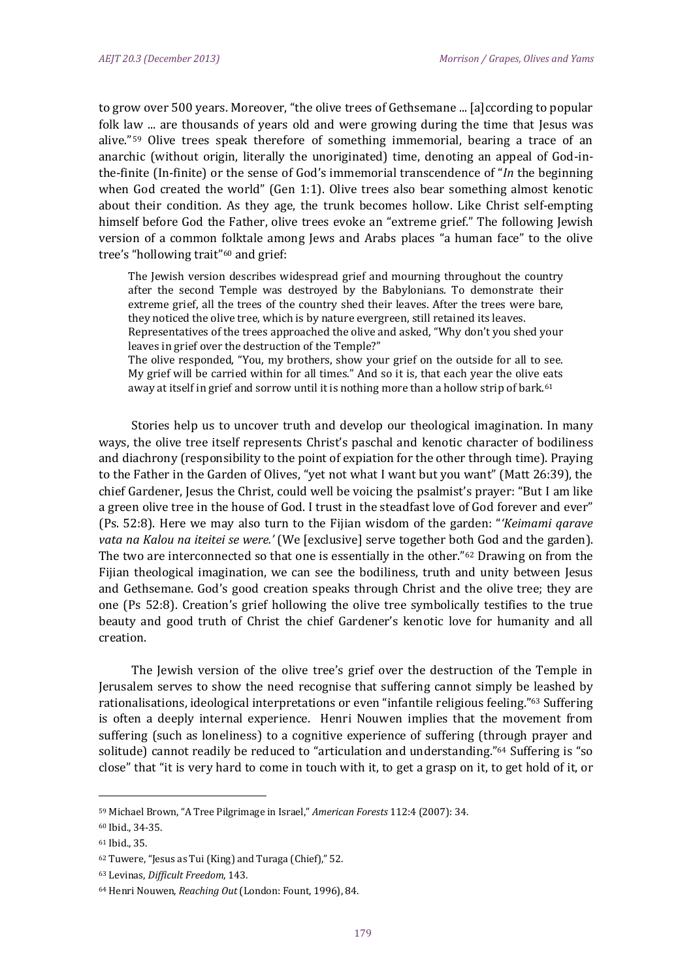to grow over 500 years. Moreover, "the olive trees of Gethsemane ... [a]ccording to popular folk law ... are thousands of years old and were growing during the time that Jesus was alive."[59](#page-9-0) Olive trees speak therefore of something immemorial, bearing a trace of an anarchic (without origin, literally the unoriginated) time, denoting an appeal of God-inthe-finite (In-finite) or the sense of God's immemorial transcendence of "*In* the beginning when God created the world" (Gen 1:1). Olive trees also bear something almost kenotic about their condition. As they age, the trunk becomes hollow. Like Christ self-empting himself before God the Father, olive trees evoke an "extreme grief." The following Jewish version of a common [fol](#page-9-1)ktale among Jews and Arabs places "a human face" to the olive tree's "hollowing trait"60 and grief:

The Jewish version describes widespread grief and mourning throughout the country after the second Temple was destroyed by the Babylonians. To demonstrate their extreme grief, all the trees of the country shed their leaves. After the trees were bare, they noticed the olive tree, which is by nature evergreen, still retained its leaves. Representatives of the trees approached the olive and asked, "Why don't you shed your leaves in grief over the destruction of the Temple?" The olive responded, "You, my brothers, show your grief on the outside for all to see. My grief will be carried within for all times." And so it is, that each year the olive eats away at itself in grief and sorrow until it is nothing more than a hollow strip of bark.<sup>[61](#page-9-2)</sup>

Stories help us to uncover truth and develop our theological imagination. In many ways, the olive tree itself represents Christ's paschal and kenotic character of bodiliness and diachrony (responsibility to the point of expiation for the other through time). Praying to the Father in the Garden of Olives, "yet not what I want but you want" (Matt 26:39), the chief Gardener, Jesus the Christ, could well be voicing the psalmist's prayer: "But I am like a green olive tree in the house of God. I trust in the steadfast love of God forever and ever" (Ps. 52:8). Here we may also turn to the Fijian wisdom of the garden: "*'Keimami qarave vata na Kalou na iteitei se were.'* (We [exclusive] serve together bo[th](#page-9-3) God and the garden). The two are interconnected so that one is essentially in the other."62 Drawing on from the Fijian theological imagination, we can see the bodiliness, truth and unity between Jesus and Gethsemane. God's good creation speaks through Christ and the olive tree; they are one (Ps 52:8). Creation's grief hollowing the olive tree symbolically testifies to the true beauty and good truth of Christ the chief Gardener's kenotic love for humanity and all creation.

The Jewish version of the olive tree's grief over the destruction of the Temple in Jerusalem serves to show the need recognise that suffering cannot simply be leashed by rationalisations, ideological interpretations or even "infantile religious feeling."[63](#page-9-4) Suffering is often a deeply internal experience. Henri Nouwen implies that the movement from suffering (such as loneliness) to a cognitive experience of suffering (through prayer and solitude) cannot readily be reduced to "articulation and understanding."[64](#page-9-5) Suffering is "so close" that "it is very hard to come in touch with it, to get a grasp on it, to get hold of it, or

<span id="page-9-0"></span><sup>59</sup> Michael Brown, "A Tree Pilgrimage in Israel," *American Forests* 112:4 (2007): 34.

<span id="page-9-1"></span><sup>60</sup> Ibid., 34-35.

<span id="page-9-2"></span><sup>61</sup> Ibid., 35.

<span id="page-9-3"></span><sup>62</sup> Tuwere, "Jesus as Tui (King) and Turaga (Chief)," 52.

<span id="page-9-4"></span><sup>63</sup> Levinas, *Difficult Freedom*, 143.

<span id="page-9-5"></span><sup>64</sup> Henri Nouwen, *Reaching Out* (London: Fount, 1996), 84.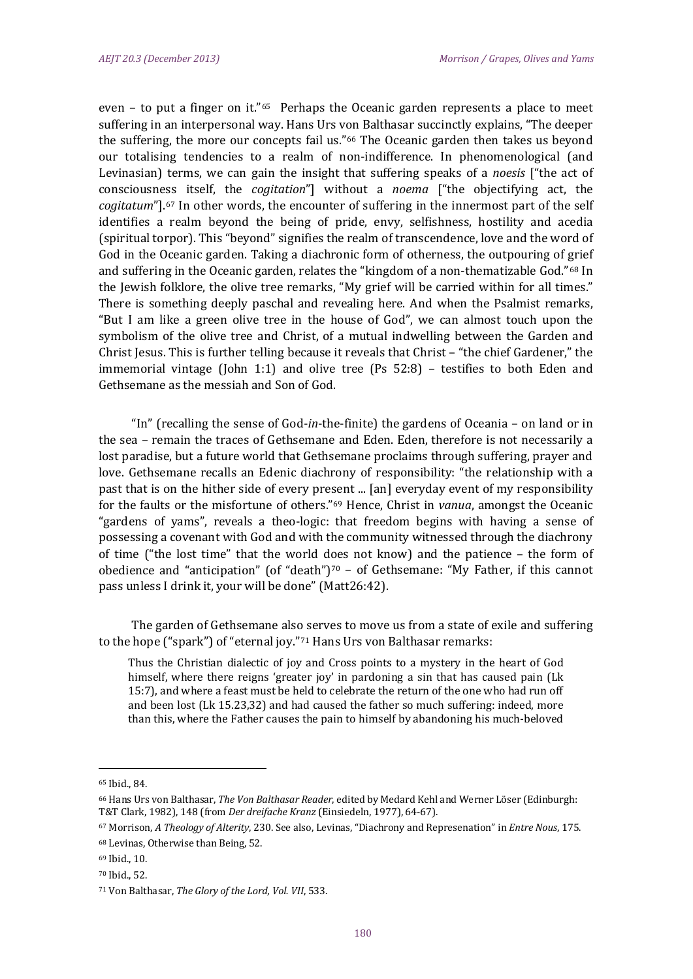even - to put a finger on it."<sup>65</sup> Perhaps the Oceanic garden represents a place to meet suffering in an interpersonal way. Hans Urs von Balthasar succinctly explains, "The deeper the suffering, the more our concepts fail us."[66](#page-10-1) The Oceanic garden then takes us beyond our totalising tendencies to a realm of non-indifference. In phenomenological (and Levinasian) terms, we can gain the insight that suffering speaks of a *noesis* ["the act of consciousness itself, the *cogitation*"] without a *noema* ["the objectifying act, the *cogitatum*"].[67](#page-10-2) In other words, the encounter of suffering in the innermost part of the self identifies a realm beyond the being of pride, envy, selfishness, hostility and acedia (spiritual torpor). This "beyond" signifies the realm of transcendence, love and the word of God in the Oceanic garden. Taking a diachronic form of otherness, the outpouring of grief and suffering in the Oceanic garden, relates the "kingdom of a non-thematizable God."[68](#page-10-3) In the Jewish folklore, the olive tree remarks, "My grief will be carried within for all times." There is something deeply paschal and revealing here. And when the Psalmist remarks, "But I am like a green olive tree in the house of God", we can almost touch upon the symbolism of the olive tree and Christ, of a mutual indwelling between the Garden and Christ Jesus. This is further telling because it reveals that Christ – "the chief Gardener," the immemorial vintage (John 1:1) and olive tree (Ps 52:8) – testifies to both Eden and Gethsemane as the messiah and Son of God.

"In" (recalling the sense of God-*in*-the-finite) the gardens of Oceania – on land or in the sea – remain the traces of Gethsemane and Eden. Eden, therefore is not necessarily a lost paradise, but a future world that Gethsemane proclaims through suffering, prayer and love. Gethsemane recalls an Edenic diachrony of responsibility: "the relationship with a past that is on the hither side of every present ... [an] everyday event of my responsibility for the faults or the misfortune of others."[69](#page-10-4) Hence, Christ in *vanua*, amongst the Oceanic "gardens of yams", reveals a theo-logic: that freedom begins with having a sense of possessing a covenant with God and with the community witnessed through the diachrony of time ("the lost time" that the world d[oe](#page-10-5)s not know) and the patience – the form of obedience and "anticipation" (of "death") $70 -$  of Gethsemane: "My Father, if this cannot pass unless I drink it, your will be done" (Matt26:42).

The garden of Gethsemane also serves to move us from a state of exile and suffering to the hope ("spark") of "eternal joy."[71](#page-10-6) Hans Urs von Balthasar remarks:

Thus the Christian dialectic of joy and Cross points to a mystery in the heart of God himself, where there reigns 'greater joy' in pardoning a sin that has caused pain (Lk 15:7), and where a feast must be held to celebrate the return of the one who had run off and been lost (Lk 15.23,32) and had caused the father so much suffering: indeed, more than this, where the Father causes the pain to himself by abandoning his much-beloved

<span id="page-10-0"></span><sup>65</sup> Ibid., 84.

<span id="page-10-1"></span><sup>66</sup> Hans Urs von Balthasar, *The Von Balthasar Reader*, edited by Medard Kehl and Werner Löser (Edinburgh: T&T Clark, 1982), 148 (from *Der dreifache Kranz* (Einsiedeln, 1977), 64-67).

<span id="page-10-2"></span><sup>67</sup> Morrison, *A Theology of Alterity*, 230. See also, Levinas, "Diachrony and Represenation" in *Entre Nous*, 175.

<span id="page-10-3"></span><sup>68</sup> Levinas, Otherwise than Being, 52.

<span id="page-10-5"></span><span id="page-10-4"></span><sup>69</sup> Ibid., 10.

<sup>70</sup> Ibid., 52.

<span id="page-10-6"></span><sup>71</sup> Von Balthasar, *The Glory of the Lord, Vol. VII*, 533.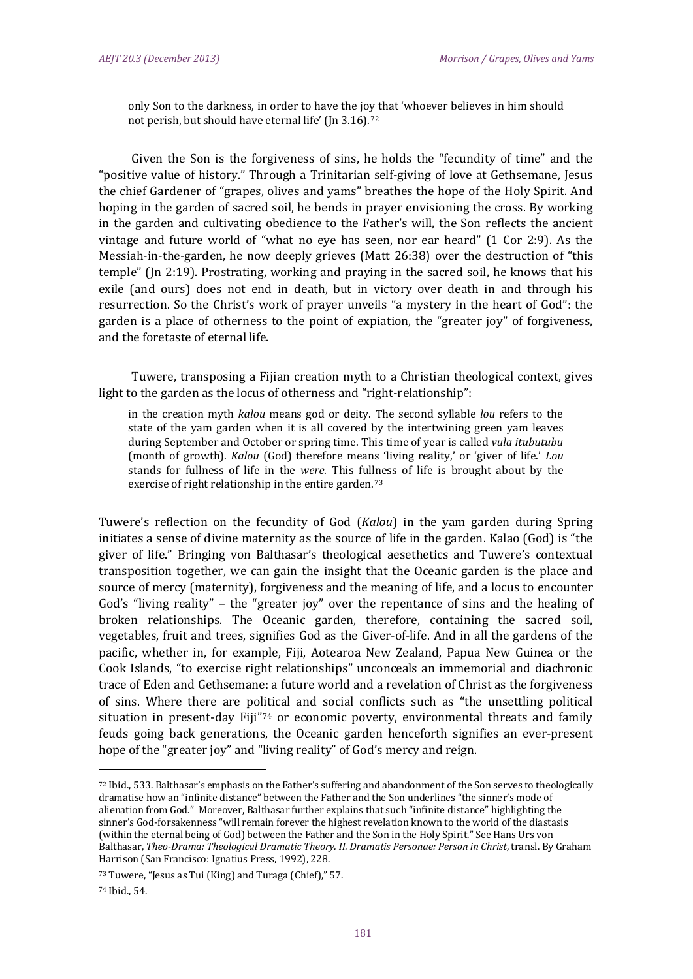only Son to the darkness, in order to have the joy that 'whoever believes in him should not perish, but should have eternal life' (Jn 3.16).[72](#page-11-0)

Given the Son is the forgiveness of sins, he holds the "fecundity of time" and the "positive value of history." Through a Trinitarian self-giving of love at Gethsemane, Jesus the chief Gardener of "grapes, olives and yams" breathes the hope of the Holy Spirit. And hoping in the garden of sacred soil, he bends in prayer envisioning the cross. By working in the garden and cultivating obedience to the Father's will, the Son reflects the ancient vintage and future world of "what no eye has seen, nor ear heard" (1 Cor 2:9). As the Messiah-in-the-garden, he now deeply grieves (Matt 26:38) over the destruction of "this temple" (Jn 2:19). Prostrating, working and praying in the sacred soil, he knows that his exile (and ours) does not end in death, but in victory over death in and through his resurrection. So the Christ's work of prayer unveils "a mystery in the heart of God": the garden is a place of otherness to the point of expiation, the "greater joy" of forgiveness, and the foretaste of eternal life.

Tuwere, transposing a Fijian creation myth to a Christian theological context, gives light to the garden as the locus of otherness and "right-relationship":

in the creation myth *kalou* means god or deity. The second syllable *lou* refers to the state of the yam garden when it is all covered by the intertwining green yam leaves during September and October or spring time. This time of year is called *vula itubutubu* (month of growth). *Kalou* (God) therefore means 'living reality,' or 'giver of life.' *Lou* stands for fullness of life in the *were*. This fullness of life is brought about by the exercise of right relationship in the entire garden.<sup>[73](#page-11-1)</sup>

Tuwere's reflection on the fecundity of God (*Kalou*) in the yam garden during Spring initiates a sense of divine maternity as the source of life in the garden. Kalao (God) is "the giver of life." Bringing von Balthasar's theological aesethetics and Tuwere's contextual transposition together, we can gain the insight that the Oceanic garden is the place and source of mercy (maternity), forgiveness and the meaning of life, and a locus to encounter God's "living reality" – the "greater joy" over the repentance of sins and the healing of broken relationships. The Oceanic garden, therefore, containing the sacred soil, vegetables, fruit and trees, signifies God as the Giver-of-life. And in all the gardens of the pacific, whether in, for example, Fiji, Aotearoa New Zealand, Papua New Guinea or the Cook Islands, "to exercise right relationships" unconceals an immemorial and diachronic trace of Eden and Gethsemane: a future world and a revelation of Christ as the forgiveness of sins. Where there are po[liti](#page-11-2)cal and social conflicts such as "the unsettling political situation in present-day Fiji"74 or economic poverty, environmental threats and family feuds going back generations, the Oceanic garden henceforth signifies an ever-present hope of the "greater joy" and "living reality" of God's mercy and reign.

<span id="page-11-0"></span><sup>72</sup> Ibid., 533. Balthasar's emphasis on the Father's suffering and abandonment of the Son serves to theologically dramatise how an "infinite distance" between the Father and the Son underlines "the sinner's mode of alienation from God." Moreover, Balthasar further explains that such "infinite distance" highlighting the sinner's God-forsakenness "will remain forever the highest revelation known to the world of the diastasis (within the eternal being of God) between the Father and the Son in the Holy Spirit." See Hans Urs von Balthasar, *Theo-Drama: Theological Dramatic Theory. II. Dramatis Personae: Person in Christ*, transl. By Graham Harrison (San Francisco: Ignatius Press, 1992), 228.

<span id="page-11-1"></span><sup>73</sup> Tuwere, "Jesus as Tui (King) and Turaga (Chief)," 57.

<span id="page-11-2"></span><sup>74</sup> Ibid., 54.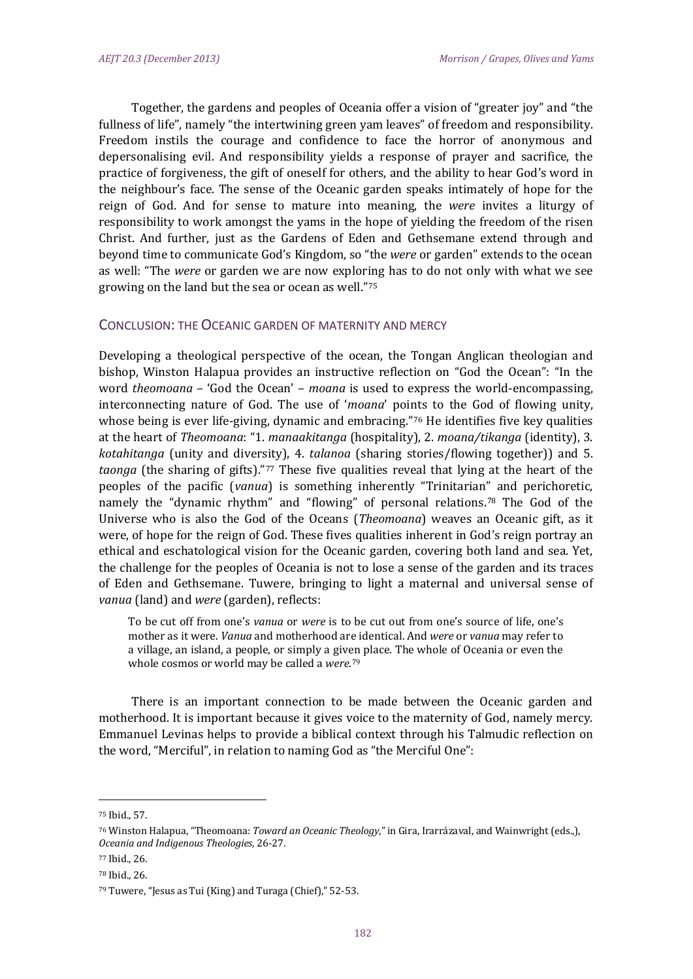Together, the gardens and peoples of Oceania offer a vision of "greater joy" and "the fullness of life", namely "the intertwining green yam leaves" of freedom and responsibility. Freedom instils the courage and confidence to face the horror of anonymous and depersonalising evil. And responsibility yields a response of prayer and sacrifice, the practice of forgiveness, the gift of oneself for others, and the ability to hear God's word in the neighbour's face. The sense of the Oceanic garden speaks intimately of hope for the reign of God. And for sense to mature into meaning, the *were* invites a liturgy of responsibility to work amongst the yams in the hope of yielding the freedom of the risen Christ. And further, just as the Gardens of Eden and Gethsemane extend through and beyond time to communicate God's Kingdom, so "the *were* or garden" extends to the ocean as well: "The *were* or garden we are now explor[in](#page-12-0)g has to do not only with what we see growing on the land but the sea or ocean as well."75

### CONCLUSION: THE OCEANIC GARDEN OF MATERNITY AND MERCY

Developing a theological perspective of the ocean, the Tongan Anglican theologian and bishop, Winston Halapua provides an instructive reflection on "God the Ocean": "In the word *theomoana* – 'God the Ocean' – *moana* is used to express the world-encompassing, interconnecting nature of God. The use of '*moana*' points to the God of flowing unity, whose being is ever life-giving, dynamic and embracing."<sup>76</sup> He identifies five key qualities at the heart of *Theomoana*: "1. *manaakitanga* (hospitality), 2. *moana/tikanga* (identity), 3. *kotahitanga* (unity and diversity), 4. *talanoa* (sharing stories/flowing together)) and 5. *taonga* (the sharing of gifts).["77](#page-12-2) These five qualities reveal that lying at the heart of the peoples of the pacific (*vanua*) is something inherently "Trinitarian" and perichoretic, namely the "dynamic rhythm" and "flowing" of personal relations.[78](#page-12-3) The God of the Universe who is also the God of the Oceans (*Theomoana*) weaves an Oceanic gift, as it were, of hope for the reign of God. These fives qualities inherent in God's reign portray an ethical and eschatological vision for the Oceanic garden, covering both land and sea. Yet, the challenge for the peoples of Oceania is not to lose a sense of the garden and its traces of Eden and Gethsemane. Tuwere, bringing to light a maternal and universal sense of *vanua* (land) and *were* (garden), reflects:

To be cut off from one's *vanua* or *were* is to be cut out from one's source of life, one's mother as it were. *Vanua* and motherhood are identical. And *were* or *vanua* may refer to a village, an island, a people, or simply a given place. The whole of Oceania or even the whole cosmos or world may be called a *were*.[79](#page-12-4)

There is an important connection to be made between the Oceanic garden and motherhood. It is important because it gives voice to the maternity of God, namely mercy. Emmanuel Levinas helps to provide a biblical context through his Talmudic reflection on the word, "Merciful", in relation to naming God as "the Merciful One":

<span id="page-12-0"></span><sup>75</sup> Ibid., 57.

<span id="page-12-1"></span><sup>76</sup> Winston Halapua, "Theomoana: *Toward an Oceanic Theology*," in Gira, Irarrázaval, and Wainwright (eds.,), *Oceania and Indigenous Theologies*, 26-27.

<span id="page-12-3"></span><span id="page-12-2"></span><sup>77</sup> Ibid., 26.

<sup>78</sup> Ibid., 26.

<span id="page-12-4"></span><sup>79</sup> Tuwere, "Jesus as Tui (King) and Turaga (Chief)," 52-53.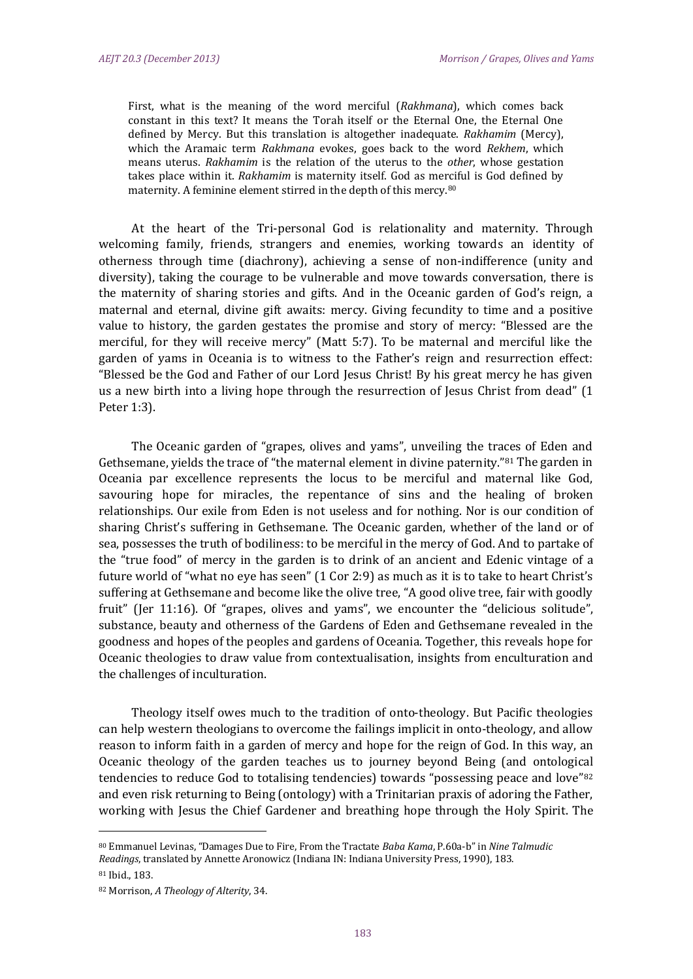First, what is the meaning of the word merciful (*Rakhmana*), which comes back constant in this text? It means the Torah itself or the Eternal One, the Eternal One defined by Mercy. But this translation is altogether inadequate. *Rakhamim* (Mercy), which the Aramaic term *Rakhmana* evokes, goes back to the word *Rekhem*, which means uterus. *Rakhamim* is the relation of the uterus to the *other*, whose gestation takes place within it. *Rakhamim* is maternity itself. God as merciful is God defined by maternity. A feminine element stirred in the depth of this mercy.[80](#page-13-0)

At the heart of the Tri-personal God is relationality and maternity. Through welcoming family, friends, strangers and enemies, working towards an identity of otherness through time (diachrony), achieving a sense of non-indifference (unity and diversity), taking the courage to be vulnerable and move towards conversation, there is the maternity of sharing stories and gifts. And in the Oceanic garden of God's reign, a maternal and eternal, divine gift awaits: mercy. Giving fecundity to time and a positive value to history, the garden gestates the promise and story of mercy: "Blessed are the merciful, for they will receive mercy" (Matt 5:7). To be maternal and merciful like the garden of yams in Oceania is to witness to the Father's reign and resurrection effect: "Blessed be the God and Father of our Lord Jesus Christ! By his great mercy he has given us a new birth into a living hope through the resurrection of Jesus Christ from dead" (1 Peter 1:3).

The Oceanic garden of "grapes, olives and yams", unveiling the traces of Eden and Gethsemane, yields the trace of "the maternal element in divine paternity."[81](#page-13-1) The garden in Oceania par excellence represents the locus to be merciful and maternal like God, savouring hope for miracles, the repentance of sins and the healing of broken relationships. Our exile from Eden is not useless and for nothing. Nor is our condition of sharing Christ's suffering in Gethsemane. The Oceanic garden, whether of the land or of sea, possesses the truth of bodiliness: to be merciful in the mercy of God. And to partake of the "true food" of mercy in the garden is to drink of an ancient and Edenic vintage of a future world of "what no eye has seen" (1 Cor 2:9) as much as it is to take to heart Christ's suffering at Gethsemane and become like the olive tree, "A good olive tree, fair with goodly fruit" (Jer 11:16). Of "grapes, olives and yams", we encounter the "delicious solitude", substance, beauty and otherness of the Gardens of Eden and Gethsemane revealed in the goodness and hopes of the peoples and gardens of Oceania. Together, this reveals hope for Oceanic theologies to draw value from contextualisation, insights from enculturation and the challenges of inculturation.

Theology itself owes much to the tradition of onto-theology. But Pacific theologies can help western theologians to overcome the failings implicit in onto-theology, and allow reason to inform faith in a garden of mercy and hope for the reign of God. In this way, an Oceanic theology of the garden teaches us to journey beyond Being (and ontologic[al](#page-13-2)  tendencies to reduce God to totalising tendencies) towards "possessing peace and love"<sup>82</sup> and even risk returning to Being (ontology) with a Trinitarian praxis of adoring the Father, working with Jesus the Chief Gardener and breathing hope through the Holy Spirit. The

<span id="page-13-0"></span><sup>80</sup> Emmanuel Levinas, "Damages Due to Fire, From the Tractate *Baba Kama*, P.60a-b" in *Nine Talmudic Readings*, translated by Annette Aronowicz (Indiana IN: Indiana University Press, 1990), 183.

<span id="page-13-1"></span><sup>81</sup> Ibid., 183.

<span id="page-13-2"></span><sup>82</sup> Morrison, *A Theology of Alterity*, 34.